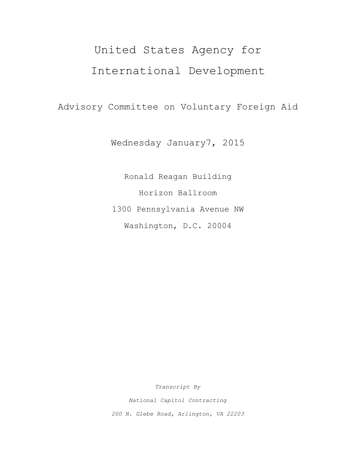# United States Agency for International Development

Advisory Committee on Voluntary Foreign Aid

Wednesday January7, 2015

Ronald Reagan Building Horizon Ballroom 1300 Pennsylvania Avenue NW Washington, D.C. 20004

*Transcript By*

*National Capitol Contracting 200 N. Glebe Road, Arlington, VA 22203*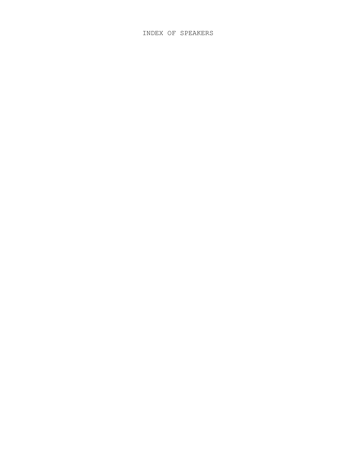# INDEX OF SPEAKERS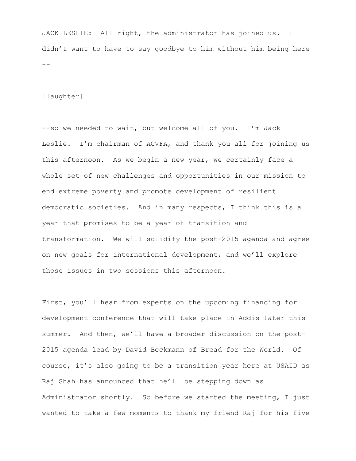JACK LESLIE: All right, the administrator has joined us. I didn't want to have to say goodbye to him without him being here --

#### [laughter]

--so we needed to wait, but welcome all of you. I'm Jack Leslie. I'm chairman of ACVFA, and thank you all for joining us this afternoon. As we begin a new year, we certainly face a whole set of new challenges and opportunities in our mission to end extreme poverty and promote development of resilient democratic societies. And in many respects, I think this is a year that promises to be a year of transition and transformation. We will solidify the post-2015 agenda and agree on new goals for international development, and we'll explore those issues in two sessions this afternoon.

First, you'll hear from experts on the upcoming financing for development conference that will take place in Addis later this summer. And then, we'll have a broader discussion on the post-2015 agenda lead by David Beckmann of Bread for the World. Of course, it's also going to be a transition year here at USAID as Raj Shah has announced that he'll be stepping down as Administrator shortly. So before we started the meeting, I just wanted to take a few moments to thank my friend Raj for his five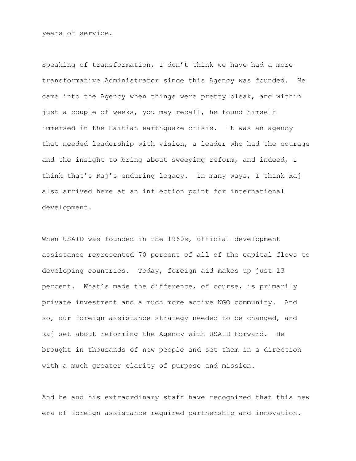years of service.

Speaking of transformation, I don't think we have had a more transformative Administrator since this Agency was founded. He came into the Agency when things were pretty bleak, and within just a couple of weeks, you may recall, he found himself immersed in the Haitian earthquake crisis. It was an agency that needed leadership with vision, a leader who had the courage and the insight to bring about sweeping reform, and indeed, I think that's Raj's enduring legacy. In many ways, I think Raj also arrived here at an inflection point for international development.

When USAID was founded in the 1960s, official development assistance represented 70 percent of all of the capital flows to developing countries. Today, foreign aid makes up just 13 percent. What's made the difference, of course, is primarily private investment and a much more active NGO community. And so, our foreign assistance strategy needed to be changed, and Raj set about reforming the Agency with USAID Forward. He brought in thousands of new people and set them in a direction with a much greater clarity of purpose and mission.

And he and his extraordinary staff have recognized that this new era of foreign assistance required partnership and innovation.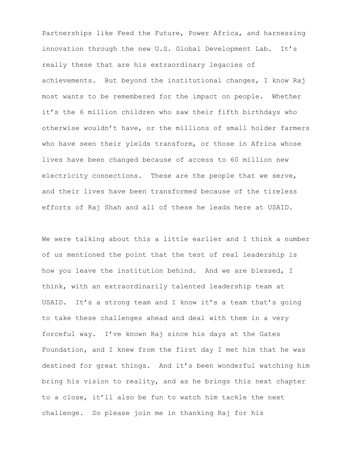Partnerships like Feed the Future, Power Africa, and harnessing innovation through the new U.S. Global Development Lab. It's really these that are his extraordinary legacies of achievements. But beyond the institutional changes, I know Raj most wants to be remembered for the impact on people. Whether it's the 6 million children who saw their fifth birthdays who otherwise wouldn't have, or the millions of small holder farmers who have seen their yields transform, or those in Africa whose lives have been changed because of access to 60 million new electricity connections. These are the people that we serve, and their lives have been transformed because of the tireless efforts of Raj Shah and all of these he leads here at USAID.

We were talking about this a little earlier and I think a number of us mentioned the point that the test of real leadership is how you leave the institution behind. And we are blessed, I think, with an extraordinarily talented leadership team at USAID. It's a strong team and I know it's a team that's going to take these challenges ahead and deal with them in a very forceful way. I've known Raj since his days at the Gates Foundation, and I knew from the first day I met him that he was destined for great things. And it's been wonderful watching him bring his vision to reality, and as he brings this next chapter to a close, it'll also be fun to watch him tackle the next challenge. So please join me in thanking Raj for his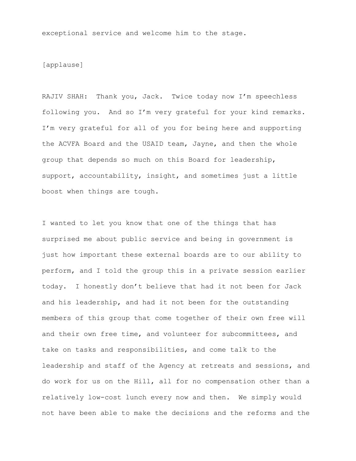exceptional service and welcome him to the stage.

## [applause]

RAJIV SHAH: Thank you, Jack. Twice today now I'm speechless following you. And so I'm very grateful for your kind remarks. I'm very grateful for all of you for being here and supporting the ACVFA Board and the USAID team, Jayne, and then the whole group that depends so much on this Board for leadership, support, accountability, insight, and sometimes just a little boost when things are tough.

I wanted to let you know that one of the things that has surprised me about public service and being in government is just how important these external boards are to our ability to perform, and I told the group this in a private session earlier today. I honestly don't believe that had it not been for Jack and his leadership, and had it not been for the outstanding members of this group that come together of their own free will and their own free time, and volunteer for subcommittees, and take on tasks and responsibilities, and come talk to the leadership and staff of the Agency at retreats and sessions, and do work for us on the Hill, all for no compensation other than a relatively low-cost lunch every now and then. We simply would not have been able to make the decisions and the reforms and the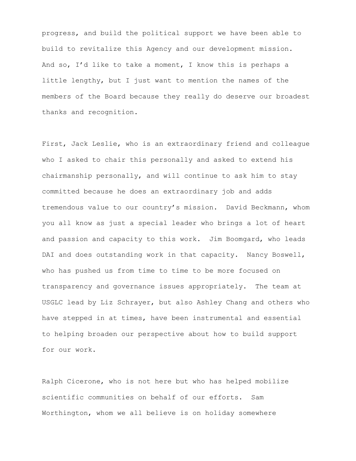progress, and build the political support we have been able to build to revitalize this Agency and our development mission. And so, I'd like to take a moment, I know this is perhaps a little lengthy, but I just want to mention the names of the members of the Board because they really do deserve our broadest thanks and recognition.

First, Jack Leslie, who is an extraordinary friend and colleague who I asked to chair this personally and asked to extend his chairmanship personally, and will continue to ask him to stay committed because he does an extraordinary job and adds tremendous value to our country's mission. David Beckmann, whom you all know as just a special leader who brings a lot of heart and passion and capacity to this work. Jim Boomgard, who leads DAI and does outstanding work in that capacity. Nancy Boswell, who has pushed us from time to time to be more focused on transparency and governance issues appropriately. The team at USGLC lead by Liz Schrayer, but also Ashley Chang and others who have stepped in at times, have been instrumental and essential to helping broaden our perspective about how to build support for our work.

Ralph Cicerone, who is not here but who has helped mobilize scientific communities on behalf of our efforts. Sam Worthington, whom we all believe is on holiday somewhere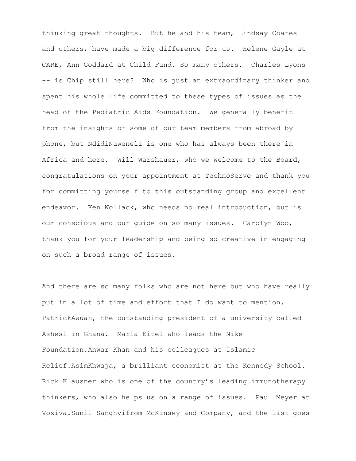thinking great thoughts. But he and his team, Lindsay Coates and others, have made a big difference for us. Helene Gayle at CARE, Ann Goddard at Child Fund. So many others. Charles Lyons -- is Chip still here? Who is just an extraordinary thinker and spent his whole life committed to these types of issues as the head of the Pediatric Aids Foundation. We generally benefit from the insights of some of our team members from abroad by phone, but NdidiNuweneli is one who has always been there in Africa and here. Will Warshauer, who we welcome to the Board, congratulations on your appointment at TechnoServe and thank you for committing yourself to this outstanding group and excellent endeavor. Ken Wollack, who needs no real introduction, but is our conscious and our guide on so many issues. Carolyn Woo, thank you for your leadership and being so creative in engaging on such a broad range of issues.

And there are so many folks who are not here but who have really put in a lot of time and effort that I do want to mention. PatrickAwuah, the outstanding president of a university called Ashesi in Ghana. Maria Eitel who leads the Nike Foundation.Anwar Khan and his colleagues at Islamic Relief.AsimKhwaja, a brilliant economist at the Kennedy School. Rick Klausner who is one of the country's leading immunotherapy thinkers, who also helps us on a range of issues. Paul Meyer at Voxiva.Sunil Sanghvifrom McKinsey and Company, and the list goes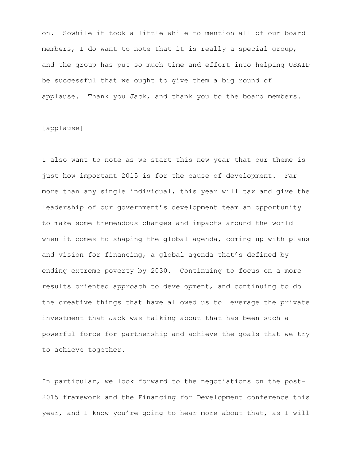on. Sowhile it took a little while to mention all of our board members, I do want to note that it is really a special group, and the group has put so much time and effort into helping USAID be successful that we ought to give them a big round of applause. Thank you Jack, and thank you to the board members.

## [applause]

I also want to note as we start this new year that our theme is just how important 2015 is for the cause of development. Far more than any single individual, this year will tax and give the leadership of our government's development team an opportunity to make some tremendous changes and impacts around the world when it comes to shaping the global agenda, coming up with plans and vision for financing, a global agenda that's defined by ending extreme poverty by 2030. Continuing to focus on a more results oriented approach to development, and continuing to do the creative things that have allowed us to leverage the private investment that Jack was talking about that has been such a powerful force for partnership and achieve the goals that we try to achieve together.

In particular, we look forward to the negotiations on the post-2015 framework and the Financing for Development conference this year, and I know you're going to hear more about that, as I will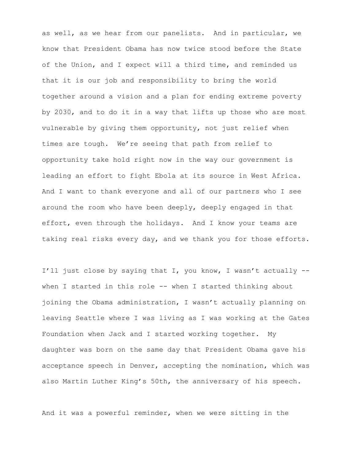as well, as we hear from our panelists. And in particular, we know that President Obama has now twice stood before the State of the Union, and I expect will a third time, and reminded us that it is our job and responsibility to bring the world together around a vision and a plan for ending extreme poverty by 2030, and to do it in a way that lifts up those who are most vulnerable by giving them opportunity, not just relief when times are tough. We're seeing that path from relief to opportunity take hold right now in the way our government is leading an effort to fight Ebola at its source in West Africa. And I want to thank everyone and all of our partners who I see around the room who have been deeply, deeply engaged in that effort, even through the holidays. And I know your teams are taking real risks every day, and we thank you for those efforts.

I'll just close by saying that I, you know, I wasn't actually - when I started in this role -- when I started thinking about joining the Obama administration, I wasn't actually planning on leaving Seattle where I was living as I was working at the Gates Foundation when Jack and I started working together. My daughter was born on the same day that President Obama gave his acceptance speech in Denver, accepting the nomination, which was also Martin Luther King's 50th, the anniversary of his speech.

And it was a powerful reminder, when we were sitting in the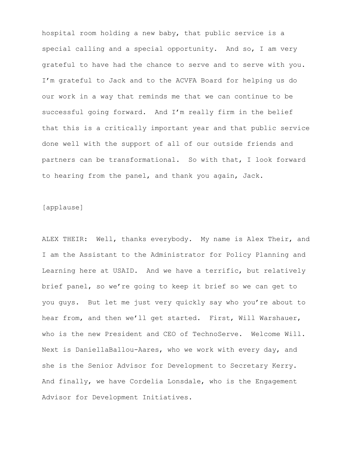hospital room holding a new baby, that public service is a special calling and a special opportunity. And so, I am very grateful to have had the chance to serve and to serve with you. I'm grateful to Jack and to the ACVFA Board for helping us do our work in a way that reminds me that we can continue to be successful going forward. And I'm really firm in the belief that this is a critically important year and that public service done well with the support of all of our outside friends and partners can be transformational. So with that, I look forward to hearing from the panel, and thank you again, Jack.

### [applause]

ALEX THEIR: Well, thanks everybody. My name is Alex Their, and I am the Assistant to the Administrator for Policy Planning and Learning here at USAID. And we have a terrific, but relatively brief panel, so we're going to keep it brief so we can get to you guys. But let me just very quickly say who you're about to hear from, and then we'll get started. First, Will Warshauer, who is the new President and CEO of TechnoServe. Welcome Will. Next is DaniellaBallou-Aares, who we work with every day, and she is the Senior Advisor for Development to Secretary Kerry. And finally, we have Cordelia Lonsdale, who is the Engagement Advisor for Development Initiatives.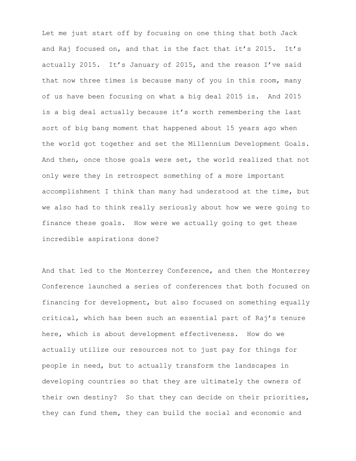Let me just start off by focusing on one thing that both Jack and Raj focused on, and that is the fact that it's 2015. It's actually 2015. It's January of 2015, and the reason I've said that now three times is because many of you in this room, many of us have been focusing on what a big deal 2015 is. And 2015 is a big deal actually because it's worth remembering the last sort of big bang moment that happened about 15 years ago when the world got together and set the Millennium Development Goals. And then, once those goals were set, the world realized that not only were they in retrospect something of a more important accomplishment I think than many had understood at the time, but we also had to think really seriously about how we were going to finance these goals. How were we actually going to get these incredible aspirations done?

And that led to the Monterrey Conference, and then the Monterrey Conference launched a series of conferences that both focused on financing for development, but also focused on something equally critical, which has been such an essential part of Raj's tenure here, which is about development effectiveness. How do we actually utilize our resources not to just pay for things for people in need, but to actually transform the landscapes in developing countries so that they are ultimately the owners of their own destiny? So that they can decide on their priorities, they can fund them, they can build the social and economic and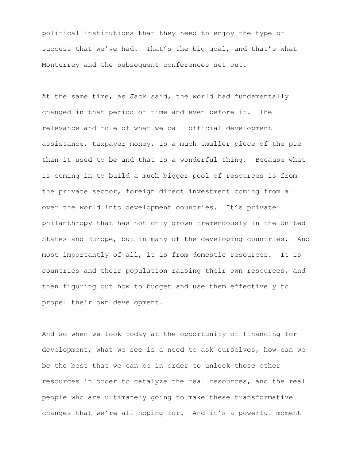political institutions that they need to enjoy the type of success that we've had. That's the big goal, and that's what Monterrey and the subsequent conferences set out.

At the same time, as Jack said, the world had fundamentally changed in that period of time and even before it. The relevance and role of what we call official development assistance, taxpayer money, is a much smaller piece of the pie than it used to be and that is a wonderful thing. Because what is coming in to build a much bigger pool of resources is from the private sector, foreign direct investment coming from all over the world into development countries. It's private philanthropy that has not only grown tremendously in the United States and Europe, but in many of the developing countries. And most importantly of all, it is from domestic resources. It is countries and their population raising their own resources, and then figuring out how to budget and use them effectively to propel their own development.

And so when we look today at the opportunity of financing for development, what we see is a need to ask ourselves, how can we be the best that we can be in order to unlock those other resources in order to catalyze the real resources, and the real people who are ultimately going to make these transformative changes that we're all hoping for. And it's a powerful moment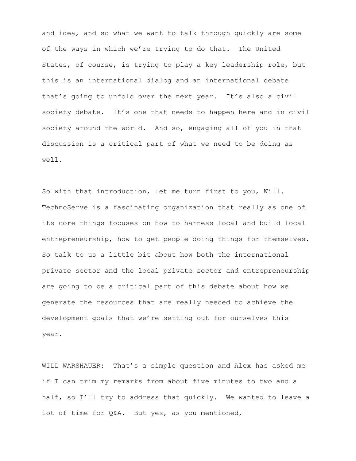and idea, and so what we want to talk through quickly are some of the ways in which we're trying to do that. The United States, of course, is trying to play a key leadership role, but this is an international dialog and an international debate that's going to unfold over the next year. It's also a civil society debate. It's one that needs to happen here and in civil society around the world. And so, engaging all of you in that discussion is a critical part of what we need to be doing as well.

So with that introduction, let me turn first to you, Will. TechnoServe is a fascinating organization that really as one of its core things focuses on how to harness local and build local entrepreneurship, how to get people doing things for themselves. So talk to us a little bit about how both the international private sector and the local private sector and entrepreneurship are going to be a critical part of this debate about how we generate the resources that are really needed to achieve the development goals that we're setting out for ourselves this year.

WILL WARSHAUER: That's a simple question and Alex has asked me if I can trim my remarks from about five minutes to two and a half, so I'll try to address that quickly. We wanted to leave a lot of time for Q&A. But yes, as you mentioned,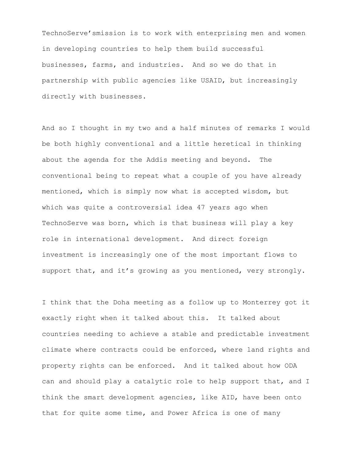TechnoServe'smission is to work with enterprising men and women in developing countries to help them build successful businesses, farms, and industries. And so we do that in partnership with public agencies like USAID, but increasingly directly with businesses.

And so I thought in my two and a half minutes of remarks I would be both highly conventional and a little heretical in thinking about the agenda for the Addis meeting and beyond. The conventional being to repeat what a couple of you have already mentioned, which is simply now what is accepted wisdom, but which was quite a controversial idea 47 years ago when TechnoServe was born, which is that business will play a key role in international development. And direct foreign investment is increasingly one of the most important flows to support that, and it's growing as you mentioned, very strongly.

I think that the Doha meeting as a follow up to Monterrey got it exactly right when it talked about this. It talked about countries needing to achieve a stable and predictable investment climate where contracts could be enforced, where land rights and property rights can be enforced. And it talked about how ODA can and should play a catalytic role to help support that, and I think the smart development agencies, like AID, have been onto that for quite some time, and Power Africa is one of many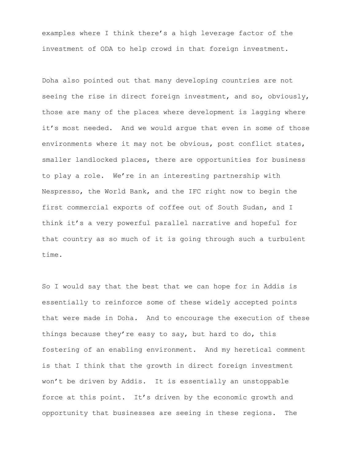examples where I think there's a high leverage factor of the investment of ODA to help crowd in that foreign investment.

Doha also pointed out that many developing countries are not seeing the rise in direct foreign investment, and so, obviously, those are many of the places where development is lagging where it's most needed. And we would argue that even in some of those environments where it may not be obvious, post conflict states, smaller landlocked places, there are opportunities for business to play a role. We're in an interesting partnership with Nespresso, the World Bank, and the IFC right now to begin the first commercial exports of coffee out of South Sudan, and I think it's a very powerful parallel narrative and hopeful for that country as so much of it is going through such a turbulent time.

So I would say that the best that we can hope for in Addis is essentially to reinforce some of these widely accepted points that were made in Doha. And to encourage the execution of these things because they're easy to say, but hard to do, this fostering of an enabling environment. And my heretical comment is that I think that the growth in direct foreign investment won't be driven by Addis. It is essentially an unstoppable force at this point. It's driven by the economic growth and opportunity that businesses are seeing in these regions. The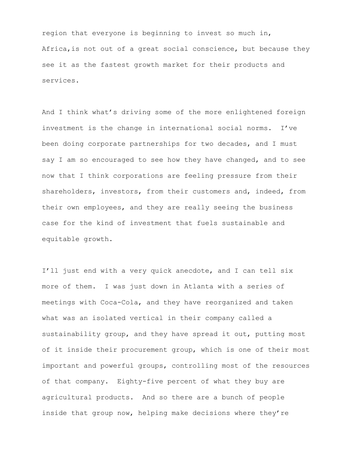region that everyone is beginning to invest so much in, Africa,is not out of a great social conscience, but because they see it as the fastest growth market for their products and services.

And I think what's driving some of the more enlightened foreign investment is the change in international social norms. I've been doing corporate partnerships for two decades, and I must say I am so encouraged to see how they have changed, and to see now that I think corporations are feeling pressure from their shareholders, investors, from their customers and, indeed, from their own employees, and they are really seeing the business case for the kind of investment that fuels sustainable and equitable growth.

I'll just end with a very quick anecdote, and I can tell six more of them. I was just down in Atlanta with a series of meetings with Coca-Cola, and they have reorganized and taken what was an isolated vertical in their company called a sustainability group, and they have spread it out, putting most of it inside their procurement group, which is one of their most important and powerful groups, controlling most of the resources of that company. Eighty-five percent of what they buy are agricultural products. And so there are a bunch of people inside that group now, helping make decisions where they're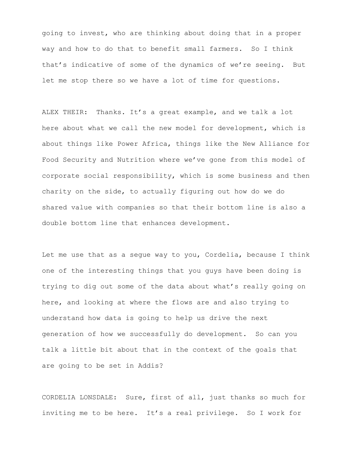going to invest, who are thinking about doing that in a proper way and how to do that to benefit small farmers. So I think that's indicative of some of the dynamics of we're seeing. But let me stop there so we have a lot of time for questions.

ALEX THEIR: Thanks. It's a great example, and we talk a lot here about what we call the new model for development, which is about things like Power Africa, things like the New Alliance for Food Security and Nutrition where we've gone from this model of corporate social responsibility, which is some business and then charity on the side, to actually figuring out how do we do shared value with companies so that their bottom line is also a double bottom line that enhances development.

Let me use that as a segue way to you, Cordelia, because I think one of the interesting things that you guys have been doing is trying to dig out some of the data about what's really going on here, and looking at where the flows are and also trying to understand how data is going to help us drive the next generation of how we successfully do development. So can you talk a little bit about that in the context of the goals that are going to be set in Addis?

CORDELIA LONSDALE: Sure, first of all, just thanks so much for inviting me to be here. It's a real privilege. So I work for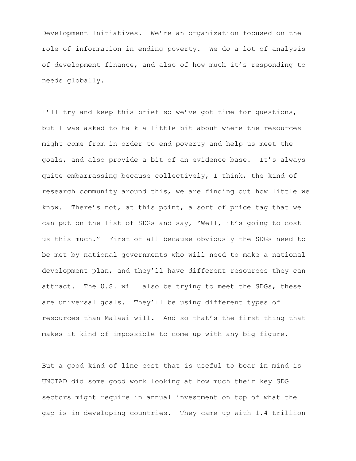Development Initiatives. We're an organization focused on the role of information in ending poverty. We do a lot of analysis of development finance, and also of how much it's responding to needs globally.

I'll try and keep this brief so we've got time for questions, but I was asked to talk a little bit about where the resources might come from in order to end poverty and help us meet the goals, and also provide a bit of an evidence base. It's always quite embarrassing because collectively, I think, the kind of research community around this, we are finding out how little we know. There's not, at this point, a sort of price tag that we can put on the list of SDGs and say, "Well, it's going to cost us this much." First of all because obviously the SDGs need to be met by national governments who will need to make a national development plan, and they'll have different resources they can attract. The U.S. will also be trying to meet the SDGs, these are universal goals. They'll be using different types of resources than Malawi will. And so that's the first thing that makes it kind of impossible to come up with any big figure.

But a good kind of line cost that is useful to bear in mind is UNCTAD did some good work looking at how much their key SDG sectors might require in annual investment on top of what the gap is in developing countries. They came up with 1.4 trillion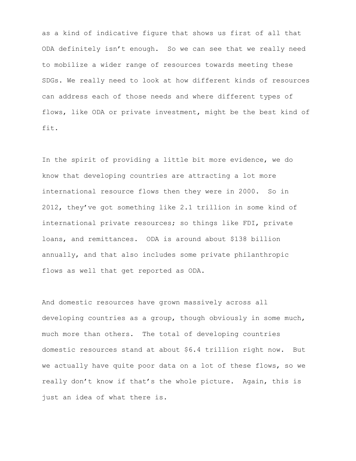as a kind of indicative figure that shows us first of all that ODA definitely isn't enough. So we can see that we really need to mobilize a wider range of resources towards meeting these SDGs. We really need to look at how different kinds of resources can address each of those needs and where different types of flows, like ODA or private investment, might be the best kind of fit.

In the spirit of providing a little bit more evidence, we do know that developing countries are attracting a lot more international resource flows then they were in 2000. So in 2012, they've got something like 2.1 trillion in some kind of international private resources; so things like FDI, private loans, and remittances. ODA is around about \$138 billion annually, and that also includes some private philanthropic flows as well that get reported as ODA.

And domestic resources have grown massively across all developing countries as a group, though obviously in some much, much more than others. The total of developing countries domestic resources stand at about \$6.4 trillion right now. But we actually have quite poor data on a lot of these flows, so we really don't know if that's the whole picture. Again, this is just an idea of what there is.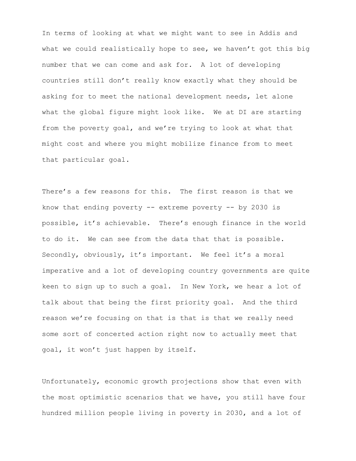In terms of looking at what we might want to see in Addis and what we could realistically hope to see, we haven't got this big number that we can come and ask for. A lot of developing countries still don't really know exactly what they should be asking for to meet the national development needs, let alone what the global figure might look like. We at DI are starting from the poverty goal, and we're trying to look at what that might cost and where you might mobilize finance from to meet that particular goal.

There's a few reasons for this. The first reason is that we know that ending poverty  $--$  extreme poverty  $--$  by 2030 is possible, it's achievable. There's enough finance in the world to do it. We can see from the data that that is possible. Secondly, obviously, it's important. We feel it's a moral imperative and a lot of developing country governments are quite keen to sign up to such a goal. In New York, we hear a lot of talk about that being the first priority goal. And the third reason we're focusing on that is that is that we really need some sort of concerted action right now to actually meet that goal, it won't just happen by itself.

Unfortunately, economic growth projections show that even with the most optimistic scenarios that we have, you still have four hundred million people living in poverty in 2030, and a lot of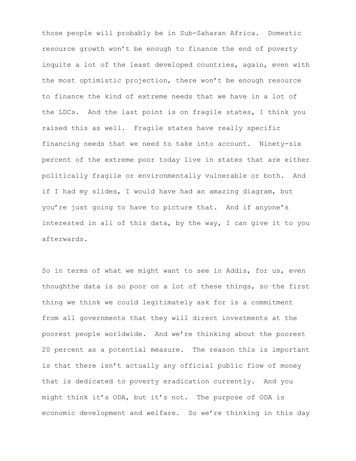those people will probably be in Sub-Saharan Africa. Domestic resource growth won't be enough to finance the end of poverty inquite a lot of the least developed countries, again, even with the most optimistic projection, there won't be enough resource to finance the kind of extreme needs that we have in a lot of the LDCs. And the last point is on fragile states, I think you raised this as well. Fragile states have really specific financing needs that we need to take into account. Ninety-six percent of the extreme poor today live in states that are either politically fragile or environmentally vulnerable or both. And if I had my slides, I would have had an amazing diagram, but you're just going to have to picture that. And if anyone's interested in all of this data, by the way, I can give it to you afterwards.

So in terms of what we might want to see in Addis, for us, even thoughthe data is so poor on a lot of these things, so the first thing we think we could legitimately ask for is a commitment from all governments that they will direct investments at the poorest people worldwide. And we're thinking about the poorest 20 percent as a potential measure. The reason this is important is that there isn't actually any official public flow of money that is dedicated to poverty eradication currently. And you might think it's ODA, but it's not. The purpose of ODA is economic development and welfare. So we're thinking in this day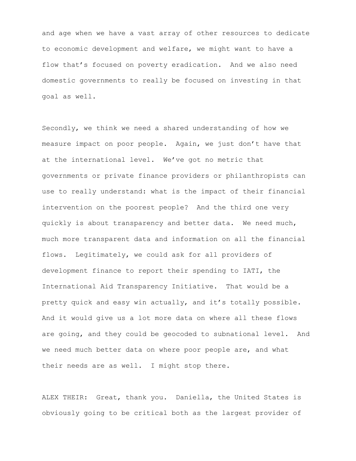and age when we have a vast array of other resources to dedicate to economic development and welfare, we might want to have a flow that's focused on poverty eradication. And we also need domestic governments to really be focused on investing in that goal as well.

Secondly, we think we need a shared understanding of how we measure impact on poor people. Again, we just don't have that at the international level. We've got no metric that governments or private finance providers or philanthropists can use to really understand: what is the impact of their financial intervention on the poorest people? And the third one very quickly is about transparency and better data. We need much, much more transparent data and information on all the financial flows. Legitimately, we could ask for all providers of development finance to report their spending to IATI, the International Aid Transparency Initiative. That would be a pretty quick and easy win actually, and it's totally possible. And it would give us a lot more data on where all these flows are going, and they could be geocoded to subnational level. And we need much better data on where poor people are, and what their needs are as well. I might stop there.

ALEX THEIR: Great, thank you. Daniella, the United States is obviously going to be critical both as the largest provider of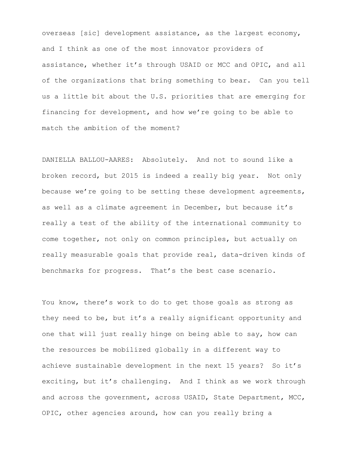overseas [sic] development assistance, as the largest economy, and I think as one of the most innovator providers of assistance, whether it's through USAID or MCC and OPIC, and all of the organizations that bring something to bear. Can you tell us a little bit about the U.S. priorities that are emerging for financing for development, and how we're going to be able to match the ambition of the moment?

DANIELLA BALLOU-AARES: Absolutely. And not to sound like a broken record, but 2015 is indeed a really big year. Not only because we're going to be setting these development agreements, as well as a climate agreement in December, but because it's really a test of the ability of the international community to come together, not only on common principles, but actually on really measurable goals that provide real, data-driven kinds of benchmarks for progress. That's the best case scenario.

You know, there's work to do to get those goals as strong as they need to be, but it's a really significant opportunity and one that will just really hinge on being able to say, how can the resources be mobilized globally in a different way to achieve sustainable development in the next 15 years? So it's exciting, but it's challenging. And I think as we work through and across the government, across USAID, State Department, MCC, OPIC, other agencies around, how can you really bring a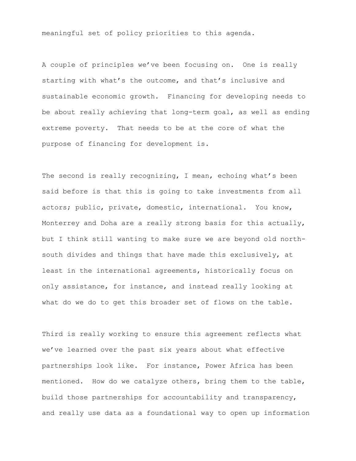meaningful set of policy priorities to this agenda.

A couple of principles we've been focusing on. One is really starting with what's the outcome, and that's inclusive and sustainable economic growth. Financing for developing needs to be about really achieving that long-term goal, as well as ending extreme poverty. That needs to be at the core of what the purpose of financing for development is.

The second is really recognizing, I mean, echoing what's been said before is that this is going to take investments from all actors; public, private, domestic, international. You know, Monterrey and Doha are a really strong basis for this actually, but I think still wanting to make sure we are beyond old northsouth divides and things that have made this exclusively, at least in the international agreements, historically focus on only assistance, for instance, and instead really looking at what do we do to get this broader set of flows on the table.

Third is really working to ensure this agreement reflects what we've learned over the past six years about what effective partnerships look like. For instance, Power Africa has been mentioned. How do we catalyze others, bring them to the table, build those partnerships for accountability and transparency, and really use data as a foundational way to open up information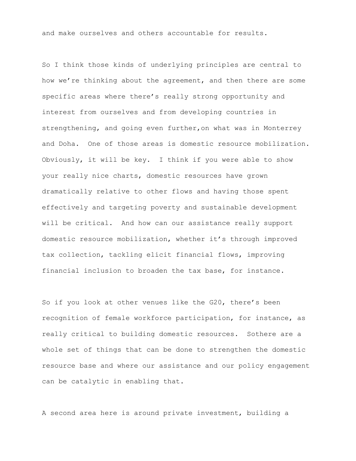and make ourselves and others accountable for results.

So I think those kinds of underlying principles are central to how we're thinking about the agreement, and then there are some specific areas where there's really strong opportunity and interest from ourselves and from developing countries in strengthening, and going even further,on what was in Monterrey and Doha. One of those areas is domestic resource mobilization. Obviously, it will be key. I think if you were able to show your really nice charts, domestic resources have grown dramatically relative to other flows and having those spent effectively and targeting poverty and sustainable development will be critical. And how can our assistance really support domestic resource mobilization, whether it's through improved tax collection, tackling elicit financial flows, improving financial inclusion to broaden the tax base, for instance.

So if you look at other venues like the G20, there's been recognition of female workforce participation, for instance, as really critical to building domestic resources. Sothere are a whole set of things that can be done to strengthen the domestic resource base and where our assistance and our policy engagement can be catalytic in enabling that.

A second area here is around private investment, building a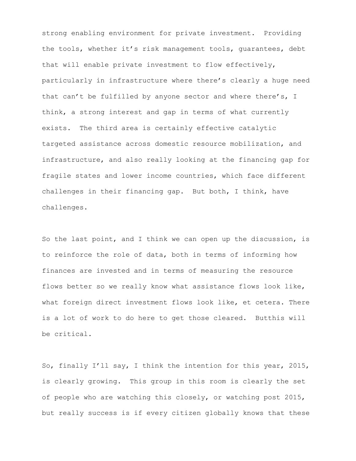strong enabling environment for private investment. Providing the tools, whether it's risk management tools, guarantees, debt that will enable private investment to flow effectively, particularly in infrastructure where there's clearly a huge need that can't be fulfilled by anyone sector and where there's, I think, a strong interest and gap in terms of what currently exists. The third area is certainly effective catalytic targeted assistance across domestic resource mobilization, and infrastructure, and also really looking at the financing gap for fragile states and lower income countries, which face different challenges in their financing gap. But both, I think, have challenges.

So the last point, and I think we can open up the discussion, is to reinforce the role of data, both in terms of informing how finances are invested and in terms of measuring the resource flows better so we really know what assistance flows look like, what foreign direct investment flows look like, et cetera. There is a lot of work to do here to get those cleared. Butthis will be critical.

So, finally I'll say, I think the intention for this year, 2015, is clearly growing. This group in this room is clearly the set of people who are watching this closely, or watching post 2015, but really success is if every citizen globally knows that these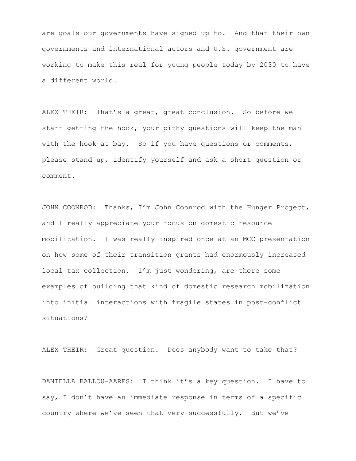are goals our governments have signed up to. And that their own governments and international actors and U.S. government are working to make this real for young people today by 2030 to have a different world.

ALEX THEIR: That's a great, great conclusion. So before we start getting the hook, your pithy questions will keep the man with the hook at bay. So if you have questions or comments, please stand up, identify yourself and ask a short question or comment.

JOHN COONROD: Thanks, I'm John Coonrod with the Hunger Project, and I really appreciate your focus on domestic resource mobilization. I was really inspired once at an MCC presentation on how some of their transition grants had enormously increased local tax collection. I'm just wondering, are there some examples of building that kind of domestic research mobilization into initial interactions with fragile states in post-conflict situations?

ALEX THEIR: Great question. Does anybody want to take that?

DANIELLA BALLOU-AARES: I think it's a key question. I have to say, I don't have an immediate response in terms of a specific country where we've seen that very successfully. But we've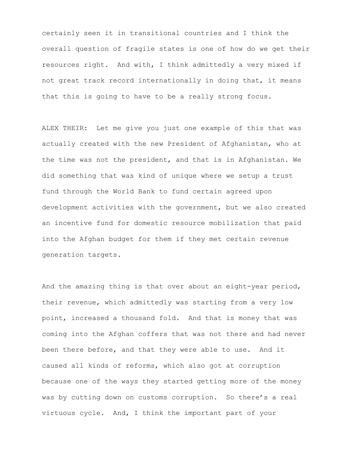certainly seen it in transitional countries and I think the overall question of fragile states is one of how do we get their resources right. And with, I think admittedly a very mixed if not great track record internationally in doing that, it means that this is going to have to be a really strong focus.

ALEX THEIR: Let me give you just one example of this that was actually created with the new President of Afghanistan, who at the time was not the president, and that is in Afghanistan. We did something that was kind of unique where we setup a trust fund through the World Bank to fund certain agreed upon development activities with the government, but we also created an incentive fund for domestic resource mobilization that paid into the Afghan budget for them if they met certain revenue generation targets.

And the amazing thing is that over about an eight-year period, their revenue, which admittedly was starting from a very low point, increased a thousand fold. And that is money that was coming into the Afghan coffers that was not there and had never been there before, and that they were able to use. And it caused all kinds of reforms, which also got at corruption because one of the ways they started getting more of the money was by cutting down on customs corruption. So there's a real virtuous cycle. And, I think the important part of your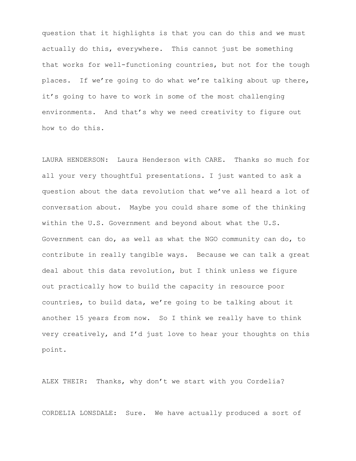question that it highlights is that you can do this and we must actually do this, everywhere. This cannot just be something that works for well-functioning countries, but not for the tough places. If we're going to do what we're talking about up there, it's going to have to work in some of the most challenging environments. And that's why we need creativity to figure out how to do this.

LAURA HENDERSON: Laura Henderson with CARE. Thanks so much for all your very thoughtful presentations. I just wanted to ask a question about the data revolution that we've all heard a lot of conversation about. Maybe you could share some of the thinking within the U.S. Government and beyond about what the U.S. Government can do, as well as what the NGO community can do, to contribute in really tangible ways. Because we can talk a great deal about this data revolution, but I think unless we figure out practically how to build the capacity in resource poor countries, to build data, we're going to be talking about it another 15 years from now. So I think we really have to think very creatively, and I'd just love to hear your thoughts on this point.

ALEX THEIR: Thanks, why don't we start with you Cordelia?

CORDELIA LONSDALE: Sure. We have actually produced a sort of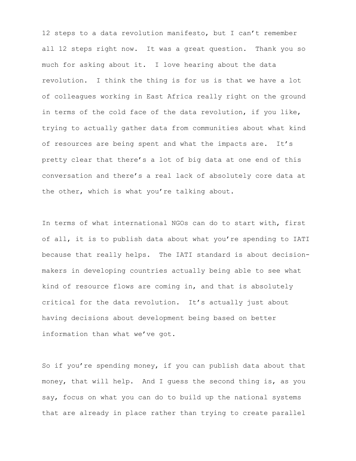12 steps to a data revolution manifesto, but I can't remember all 12 steps right now. It was a great question. Thank you so much for asking about it. I love hearing about the data revolution. I think the thing is for us is that we have a lot of colleagues working in East Africa really right on the ground in terms of the cold face of the data revolution, if you like, trying to actually gather data from communities about what kind of resources are being spent and what the impacts are. It's pretty clear that there's a lot of big data at one end of this conversation and there's a real lack of absolutely core data at the other, which is what you're talking about.

In terms of what international NGOs can do to start with, first of all, it is to publish data about what you're spending to IATI because that really helps. The IATI standard is about decisionmakers in developing countries actually being able to see what kind of resource flows are coming in, and that is absolutely critical for the data revolution. It's actually just about having decisions about development being based on better information than what we've got.

So if you're spending money, if you can publish data about that money, that will help. And I guess the second thing is, as you say, focus on what you can do to build up the national systems that are already in place rather than trying to create parallel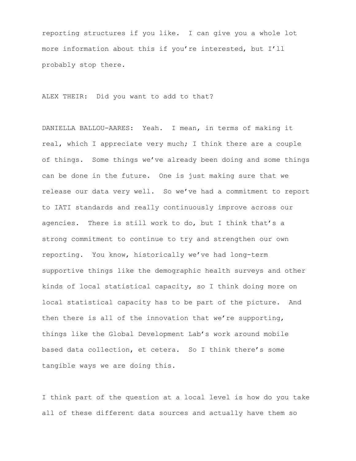reporting structures if you like. I can give you a whole lot more information about this if you're interested, but I'll probably stop there.

ALEX THEIR: Did you want to add to that?

DANIELLA BALLOU-AARES: Yeah. I mean, in terms of making it real, which I appreciate very much; I think there are a couple of things. Some things we've already been doing and some things can be done in the future. One is just making sure that we release our data very well. So we've had a commitment to report to IATI standards and really continuously improve across our agencies. There is still work to do, but I think that's a strong commitment to continue to try and strengthen our own reporting. You know, historically we've had long-term supportive things like the demographic health surveys and other kinds of local statistical capacity, so I think doing more on local statistical capacity has to be part of the picture. And then there is all of the innovation that we're supporting, things like the Global Development Lab's work around mobile based data collection, et cetera. So I think there's some tangible ways we are doing this.

I think part of the question at a local level is how do you take all of these different data sources and actually have them so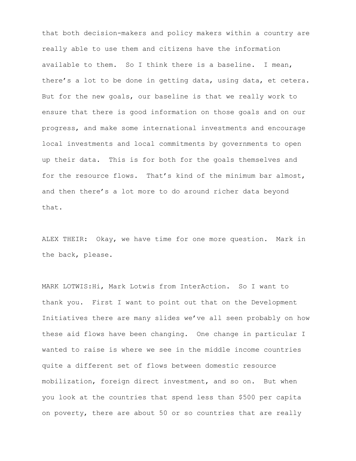that both decision-makers and policy makers within a country are really able to use them and citizens have the information available to them. So I think there is a baseline. I mean, there's a lot to be done in getting data, using data, et cetera. But for the new goals, our baseline is that we really work to ensure that there is good information on those goals and on our progress, and make some international investments and encourage local investments and local commitments by governments to open up their data. This is for both for the goals themselves and for the resource flows. That's kind of the minimum bar almost, and then there's a lot more to do around richer data beyond that.

ALEX THEIR: Okay, we have time for one more question. Mark in the back, please.

MARK LOTWIS:Hi, Mark Lotwis from InterAction. So I want to thank you. First I want to point out that on the Development Initiatives there are many slides we've all seen probably on how these aid flows have been changing. One change in particular I wanted to raise is where we see in the middle income countries quite a different set of flows between domestic resource mobilization, foreign direct investment, and so on. But when you look at the countries that spend less than \$500 per capita on poverty, there are about 50 or so countries that are really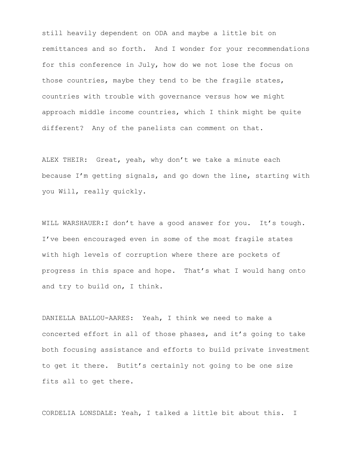still heavily dependent on ODA and maybe a little bit on remittances and so forth. And I wonder for your recommendations for this conference in July, how do we not lose the focus on those countries, maybe they tend to be the fragile states, countries with trouble with governance versus how we might approach middle income countries, which I think might be quite different? Any of the panelists can comment on that.

ALEX THEIR: Great, yeah, why don't we take a minute each because I'm getting signals, and go down the line, starting with you Will, really quickly.

WILL WARSHAUER:I don't have a good answer for you. It's tough. I've been encouraged even in some of the most fragile states with high levels of corruption where there are pockets of progress in this space and hope. That's what I would hang onto and try to build on, I think.

DANIELLA BALLOU-AARES: Yeah, I think we need to make a concerted effort in all of those phases, and it's going to take both focusing assistance and efforts to build private investment to get it there. Butit's certainly not going to be one size fits all to get there.

CORDELIA LONSDALE: Yeah, I talked a little bit about this. I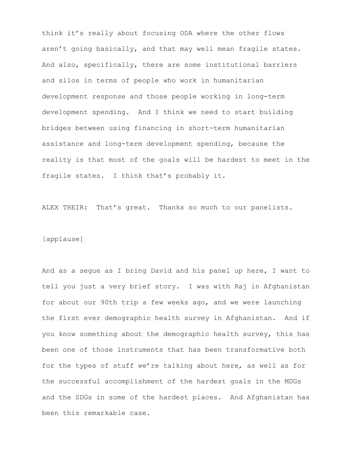think it's really about focusing ODA where the other flows aren't going basically, and that may well mean fragile states. And also, specifically, there are some institutional barriers and silos in terms of people who work in humanitarian development response and those people working in long-term development spending. And I think we need to start building bridges between using financing in short-term humanitarian assistance and long-term development spending, because the reality is that most of the goals will be hardest to meet in the fragile states. I think that's probably it.

ALEX THEIR: That's great. Thanks so much to our panelists.

#### [applause]

And as a segue as I bring David and his panel up here, I want to tell you just a very brief story. I was with Raj in Afghanistan for about our 90th trip a few weeks ago, and we were launching the first ever demographic health survey in Afghanistan. And if you know something about the demographic health survey, this has been one of those instruments that has been transformative both for the types of stuff we're talking about here, as well as for the successful accomplishment of the hardest goals in the MDGs and the SDGs in some of the hardest places. And Afghanistan has been this remarkable case.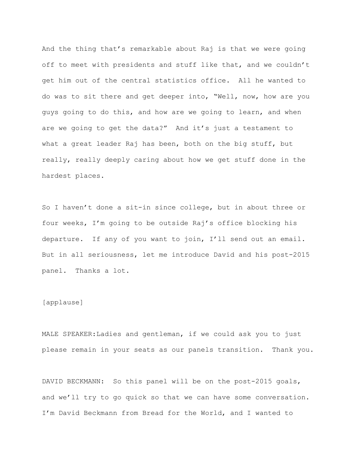And the thing that's remarkable about Raj is that we were going off to meet with presidents and stuff like that, and we couldn't get him out of the central statistics office. All he wanted to do was to sit there and get deeper into, "Well, now, how are you guys going to do this, and how are we going to learn, and when are we going to get the data?" And it's just a testament to what a great leader Raj has been, both on the big stuff, but really, really deeply caring about how we get stuff done in the hardest places.

So I haven't done a sit-in since college, but in about three or four weeks, I'm going to be outside Raj's office blocking his departure. If any of you want to join, I'll send out an email. But in all seriousness, let me introduce David and his post-2015 panel. Thanks a lot.

## [applause]

MALE SPEAKER:Ladies and gentleman, if we could ask you to just please remain in your seats as our panels transition. Thank you.

DAVID BECKMANN: So this panel will be on the post-2015 goals, and we'll try to go quick so that we can have some conversation. I'm David Beckmann from Bread for the World, and I wanted to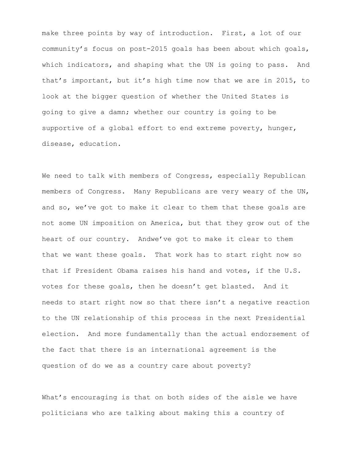make three points by way of introduction. First, a lot of our community's focus on post-2015 goals has been about which goals, which indicators, and shaping what the UN is going to pass. And that's important, but it's high time now that we are in 2015, to look at the bigger question of whether the United States is going to give a damn; whether our country is going to be supportive of a global effort to end extreme poverty, hunger, disease, education.

We need to talk with members of Congress, especially Republican members of Congress. Many Republicans are very weary of the UN, and so, we've got to make it clear to them that these goals are not some UN imposition on America, but that they grow out of the heart of our country. Andwe've got to make it clear to them that we want these goals. That work has to start right now so that if President Obama raises his hand and votes, if the U.S. votes for these goals, then he doesn't get blasted. And it needs to start right now so that there isn't a negative reaction to the UN relationship of this process in the next Presidential election. And more fundamentally than the actual endorsement of the fact that there is an international agreement is the question of do we as a country care about poverty?

What's encouraging is that on both sides of the aisle we have politicians who are talking about making this a country of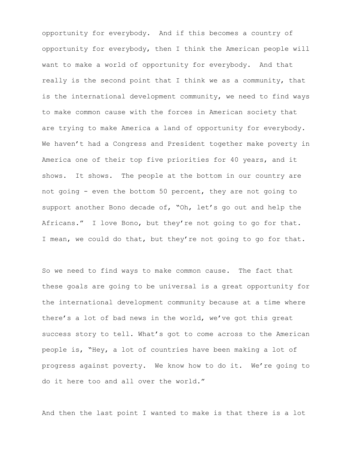opportunity for everybody. And if this becomes a country of opportunity for everybody, then I think the American people will want to make a world of opportunity for everybody. And that really is the second point that I think we as a community, that is the international development community, we need to find ways to make common cause with the forces in American society that are trying to make America a land of opportunity for everybody. We haven't had a Congress and President together make poverty in America one of their top five priorities for 40 years, and it shows. It shows. The people at the bottom in our country are not going - even the bottom 50 percent, they are not going to support another Bono decade of, "Oh, let's go out and help the Africans." I love Bono, but they're not going to go for that. I mean, we could do that, but they're not going to go for that.

So we need to find ways to make common cause. The fact that these goals are going to be universal is a great opportunity for the international development community because at a time where there's a lot of bad news in the world, we've got this great success story to tell. What's got to come across to the American people is, "Hey, a lot of countries have been making a lot of progress against poverty. We know how to do it. We're going to do it here too and all over the world."

And then the last point I wanted to make is that there is a lot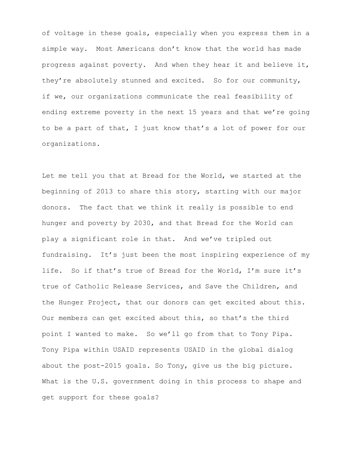of voltage in these goals, especially when you express them in a simple way. Most Americans don't know that the world has made progress against poverty. And when they hear it and believe it, they're absolutely stunned and excited. So for our community, if we, our organizations communicate the real feasibility of ending extreme poverty in the next 15 years and that we're going to be a part of that, I just know that's a lot of power for our organizations.

Let me tell you that at Bread for the World, we started at the beginning of 2013 to share this story, starting with our major donors. The fact that we think it really is possible to end hunger and poverty by 2030, and that Bread for the World can play a significant role in that. And we've tripled out fundraising. It's just been the most inspiring experience of my life. So if that's true of Bread for the World, I'm sure it's true of Catholic Release Services, and Save the Children, and the Hunger Project, that our donors can get excited about this. Our members can get excited about this, so that's the third point I wanted to make. So we'll go from that to Tony Pipa. Tony Pipa within USAID represents USAID in the global dialog about the post-2015 goals. So Tony, give us the big picture. What is the U.S. government doing in this process to shape and get support for these goals?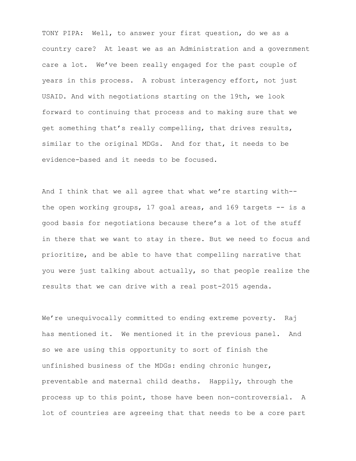TONY PIPA: Well, to answer your first question, do we as a country care? At least we as an Administration and a government care a lot. We've been really engaged for the past couple of years in this process. A robust interagency effort, not just USAID. And with negotiations starting on the 19th, we look forward to continuing that process and to making sure that we get something that's really compelling, that drives results, similar to the original MDGs. And for that, it needs to be evidence-based and it needs to be focused.

And I think that we all agree that what we're starting with- the open working groups, 17 goal areas, and 169 targets -- is a good basis for negotiations because there's a lot of the stuff in there that we want to stay in there. But we need to focus and prioritize, and be able to have that compelling narrative that you were just talking about actually, so that people realize the results that we can drive with a real post-2015 agenda.

We're unequivocally committed to ending extreme poverty. Raj has mentioned it. We mentioned it in the previous panel. And so we are using this opportunity to sort of finish the unfinished business of the MDGs: ending chronic hunger, preventable and maternal child deaths. Happily, through the process up to this point, those have been non-controversial. A lot of countries are agreeing that that needs to be a core part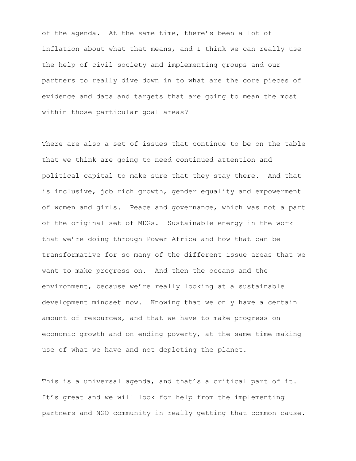of the agenda. At the same time, there's been a lot of inflation about what that means, and I think we can really use the help of civil society and implementing groups and our partners to really dive down in to what are the core pieces of evidence and data and targets that are going to mean the most within those particular goal areas?

There are also a set of issues that continue to be on the table that we think are going to need continued attention and political capital to make sure that they stay there. And that is inclusive, job rich growth, gender equality and empowerment of women and girls. Peace and governance, which was not a part of the original set of MDGs. Sustainable energy in the work that we're doing through Power Africa and how that can be transformative for so many of the different issue areas that we want to make progress on. And then the oceans and the environment, because we're really looking at a sustainable development mindset now. Knowing that we only have a certain amount of resources, and that we have to make progress on economic growth and on ending poverty, at the same time making use of what we have and not depleting the planet.

This is a universal agenda, and that's a critical part of it. It's great and we will look for help from the implementing partners and NGO community in really getting that common cause.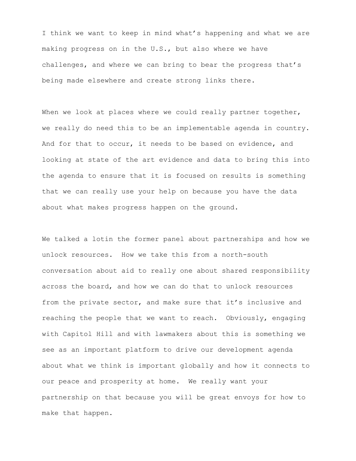I think we want to keep in mind what's happening and what we are making progress on in the U.S., but also where we have challenges, and where we can bring to bear the progress that's being made elsewhere and create strong links there.

When we look at places where we could really partner together, we really do need this to be an implementable agenda in country. And for that to occur, it needs to be based on evidence, and looking at state of the art evidence and data to bring this into the agenda to ensure that it is focused on results is something that we can really use your help on because you have the data about what makes progress happen on the ground.

We talked a lotin the former panel about partnerships and how we unlock resources. How we take this from a north-south conversation about aid to really one about shared responsibility across the board, and how we can do that to unlock resources from the private sector, and make sure that it's inclusive and reaching the people that we want to reach. Obviously, engaging with Capitol Hill and with lawmakers about this is something we see as an important platform to drive our development agenda about what we think is important globally and how it connects to our peace and prosperity at home. We really want your partnership on that because you will be great envoys for how to make that happen.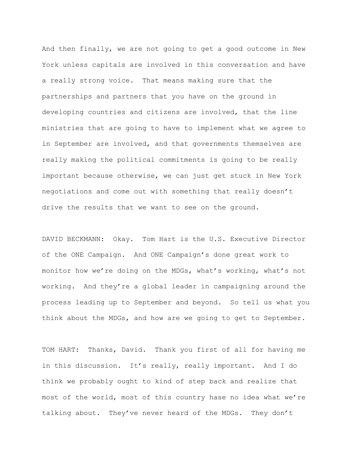And then finally, we are not going to get a good outcome in New York unless capitals are involved in this conversation and have a really strong voice. That means making sure that the partnerships and partners that you have on the ground in developing countries and citizens are involved, that the line ministries that are going to have to implement what we agree to in September are involved, and that governments themselves are really making the political commitments is going to be really important because otherwise, we can just get stuck in New York negotiations and come out with something that really doesn't drive the results that we want to see on the ground.

DAVID BECKMANN: Okay. Tom Hart is the U.S. Executive Director of the ONE Campaign. And ONE Campaign's done great work to monitor how we're doing on the MDGs, what's working, what's not working. And they're a global leader in campaigning around the process leading up to September and beyond. So tell us what you think about the MDGs, and how are we going to get to September.

TOM HART: Thanks, David. Thank you first of all for having me in this discussion. It's really, really important. And I do think we probably ought to kind of step back and realize that most of the world, most of this country hase no idea what we're talking about. They've never heard of the MDGs. They don't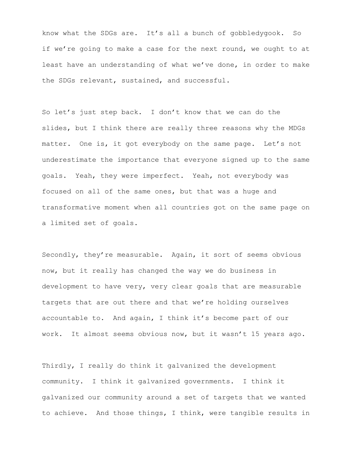know what the SDGs are. It's all a bunch of gobbledygook. So if we're going to make a case for the next round, we ought to at least have an understanding of what we've done, in order to make the SDGs relevant, sustained, and successful.

So let's just step back. I don't know that we can do the slides, but I think there are really three reasons why the MDGs matter. One is, it got everybody on the same page. Let's not underestimate the importance that everyone signed up to the same goals. Yeah, they were imperfect. Yeah, not everybody was focused on all of the same ones, but that was a huge and transformative moment when all countries got on the same page on a limited set of goals.

Secondly, they're measurable. Again, it sort of seems obvious now, but it really has changed the way we do business in development to have very, very clear goals that are measurable targets that are out there and that we're holding ourselves accountable to. And again, I think it's become part of our work. It almost seems obvious now, but it wasn't 15 years ago.

Thirdly, I really do think it galvanized the development community. I think it galvanized governments. I think it galvanized our community around a set of targets that we wanted to achieve. And those things, I think, were tangible results in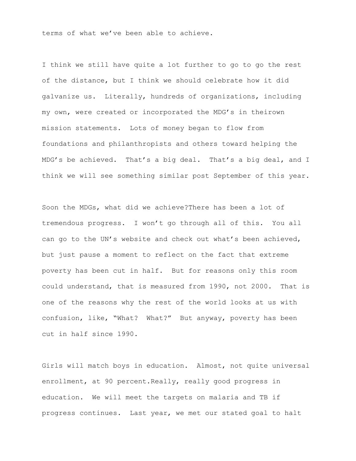terms of what we've been able to achieve.

I think we still have quite a lot further to go to go the rest of the distance, but I think we should celebrate how it did galvanize us. Literally, hundreds of organizations, including my own, were created or incorporated the MDG's in theirown mission statements. Lots of money began to flow from foundations and philanthropists and others toward helping the MDG's be achieved. That's a big deal. That's a big deal, and I think we will see something similar post September of this year.

Soon the MDGs, what did we achieve?There has been a lot of tremendous progress. I won't go through all of this. You all can go to the UN's website and check out what's been achieved, but just pause a moment to reflect on the fact that extreme poverty has been cut in half. But for reasons only this room could understand, that is measured from 1990, not 2000. That is one of the reasons why the rest of the world looks at us with confusion, like, "What? What?" But anyway, poverty has been cut in half since 1990.

Girls will match boys in education. Almost, not quite universal enrollment, at 90 percent.Really, really good progress in education. We will meet the targets on malaria and TB if progress continues. Last year, we met our stated goal to halt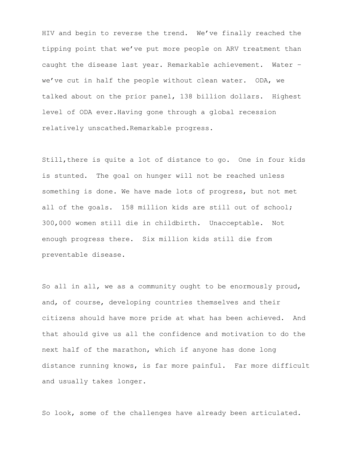HIV and begin to reverse the trend. We've finally reached the tipping point that we've put more people on ARV treatment than caught the disease last year. Remarkable achievement. Water – we've cut in half the people without clean water. ODA, we talked about on the prior panel, 138 billion dollars. Highest level of ODA ever.Having gone through a global recession relatively unscathed.Remarkable progress.

Still,there is quite a lot of distance to go. One in four kids is stunted. The goal on hunger will not be reached unless something is done. We have made lots of progress, but not met all of the goals. 158 million kids are still out of school; 300,000 women still die in childbirth. Unacceptable. Not enough progress there. Six million kids still die from preventable disease.

So all in all, we as a community ought to be enormously proud, and, of course, developing countries themselves and their citizens should have more pride at what has been achieved. And that should give us all the confidence and motivation to do the next half of the marathon, which if anyone has done long distance running knows, is far more painful. Far more difficult and usually takes longer.

So look, some of the challenges have already been articulated.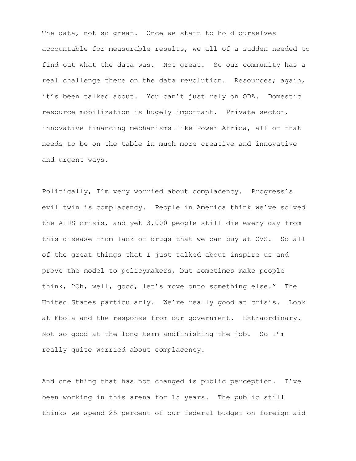The data, not so great. Once we start to hold ourselves accountable for measurable results, we all of a sudden needed to find out what the data was. Not great. So our community has a real challenge there on the data revolution. Resources; again, it's been talked about. You can't just rely on ODA. Domestic resource mobilization is hugely important. Private sector, innovative financing mechanisms like Power Africa, all of that needs to be on the table in much more creative and innovative and urgent ways.

Politically, I'm very worried about complacency. Progress's evil twin is complacency. People in America think we've solved the AIDS crisis, and yet 3,000 people still die every day from this disease from lack of drugs that we can buy at CVS. So all of the great things that I just talked about inspire us and prove the model to policymakers, but sometimes make people think, "Oh, well, good, let's move onto something else." The United States particularly. We're really good at crisis. Look at Ebola and the response from our government. Extraordinary. Not so good at the long-term andfinishing the job. So I'm really quite worried about complacency.

And one thing that has not changed is public perception. I've been working in this arena for 15 years. The public still thinks we spend 25 percent of our federal budget on foreign aid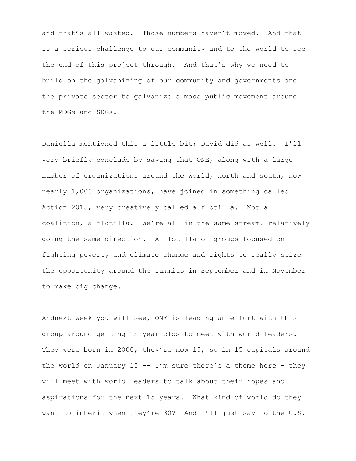and that's all wasted. Those numbers haven't moved. And that is a serious challenge to our community and to the world to see the end of this project through. And that's why we need to build on the galvanizing of our community and governments and the private sector to galvanize a mass public movement around the MDGs and SDGs.

Daniella mentioned this a little bit; David did as well. I'll very briefly conclude by saying that ONE, along with a large number of organizations around the world, north and south, now nearly 1,000 organizations, have joined in something called Action 2015, very creatively called a flotilla. Not a coalition, a flotilla. We're all in the same stream, relatively going the same direction. A flotilla of groups focused on fighting poverty and climate change and rights to really seize the opportunity around the summits in September and in November to make big change.

Andnext week you will see, ONE is leading an effort with this group around getting 15 year olds to meet with world leaders. They were born in 2000, they're now 15, so in 15 capitals around the world on January 15 -- I'm sure there's a theme here - they will meet with world leaders to talk about their hopes and aspirations for the next 15 years. What kind of world do they want to inherit when they're 30? And I'll just say to the U.S.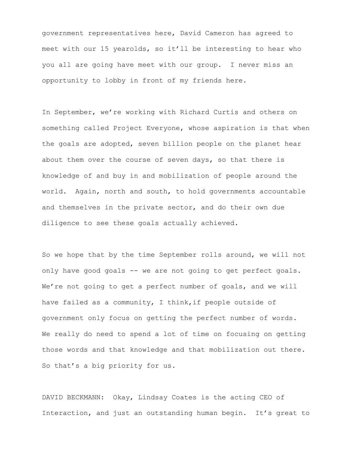government representatives here, David Cameron has agreed to meet with our 15 yearolds, so it'll be interesting to hear who you all are going have meet with our group. I never miss an opportunity to lobby in front of my friends here.

In September, we're working with Richard Curtis and others on something called Project Everyone, whose aspiration is that when the goals are adopted, seven billion people on the planet hear about them over the course of seven days, so that there is knowledge of and buy in and mobilization of people around the world. Again, north and south, to hold governments accountable and themselves in the private sector, and do their own due diligence to see these goals actually achieved.

So we hope that by the time September rolls around, we will not only have good goals -- we are not going to get perfect goals. We're not going to get a perfect number of goals, and we will have failed as a community, I think, if people outside of government only focus on getting the perfect number of words. We really do need to spend a lot of time on focusing on getting those words and that knowledge and that mobilization out there. So that's a big priority for us.

DAVID BECKMANN: Okay, Lindsay Coates is the acting CEO of Interaction, and just an outstanding human begin. It's great to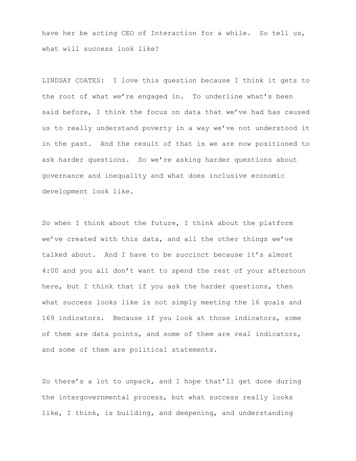have her be acting CEO of Interaction for a while. So tell us, what will success look like?

LINDSAY COATES: I love this question because I think it gets to the root of what we're engaged in. To underline what's been said before, I think the focus on data that we've had has caused us to really understand poverty in a way we've not understood it in the past. And the result of that is we are now positioned to ask harder questions. So we're asking harder questions about governance and inequality and what does inclusive economic development look like.

So when I think about the future, I think about the platform we've created with this data, and all the other things we've talked about. And I have to be succinct because it's almost 4:00 and you all don't want to spend the rest of your afternoon here, but I think that if you ask the harder questions, then what success looks like is not simply meeting the 16 goals and 169 indicators. Because if you look at those indicators, some of them are data points, and some of them are real indicators, and some of them are political statements.

So there's a lot to unpack, and I hope that'll get done during the intergovernmental process, but what success really looks like, I think, is building, and deepening, and understanding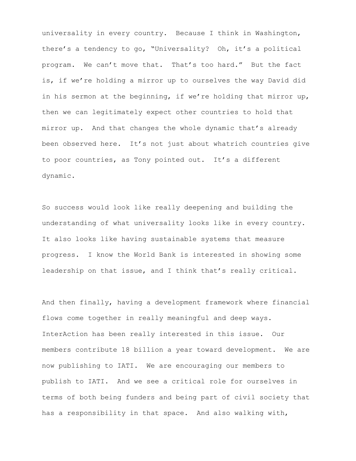universality in every country. Because I think in Washington, there's a tendency to go, "Universality? Oh, it's a political program. We can't move that. That's too hard." But the fact is, if we're holding a mirror up to ourselves the way David did in his sermon at the beginning, if we're holding that mirror up, then we can legitimately expect other countries to hold that mirror up. And that changes the whole dynamic that's already been observed here. It's not just about whatrich countries give to poor countries, as Tony pointed out. It's a different dynamic.

So success would look like really deepening and building the understanding of what universality looks like in every country. It also looks like having sustainable systems that measure progress. I know the World Bank is interested in showing some leadership on that issue, and I think that's really critical.

And then finally, having a development framework where financial flows come together in really meaningful and deep ways. InterAction has been really interested in this issue. Our members contribute 18 billion a year toward development. We are now publishing to IATI. We are encouraging our members to publish to IATI. And we see a critical role for ourselves in terms of both being funders and being part of civil society that has a responsibility in that space. And also walking with,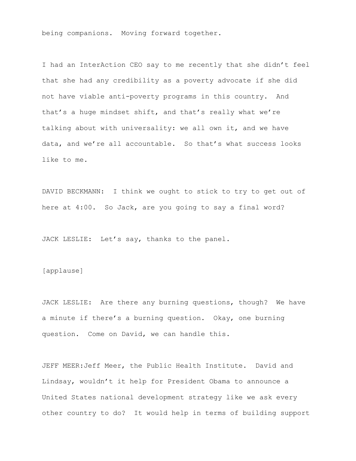being companions. Moving forward together.

I had an InterAction CEO say to me recently that she didn't feel that she had any credibility as a poverty advocate if she did not have viable anti-poverty programs in this country. And that's a huge mindset shift, and that's really what we're talking about with universality: we all own it, and we have data, and we're all accountable. So that's what success looks like to me.

DAVID BECKMANN: I think we ought to stick to try to get out of here at 4:00. So Jack, are you going to say a final word?

JACK LESLIE: Let's say, thanks to the panel.

## [applause]

JACK LESLIE: Are there any burning questions, though? We have a minute if there's a burning question. Okay, one burning question. Come on David, we can handle this.

JEFF MEER:Jeff Meer, the Public Health Institute. David and Lindsay, wouldn't it help for President Obama to announce a United States national development strategy like we ask every other country to do? It would help in terms of building support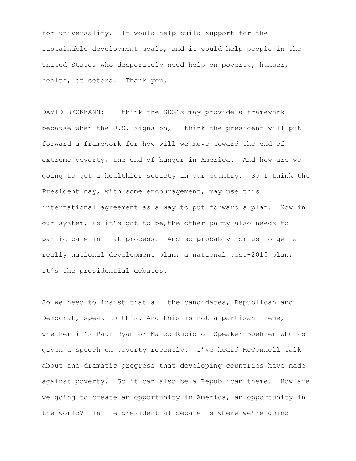for universality. It would help build support for the sustainable development goals, and it would help people in the United States who desperately need help on poverty, hunger, health, et cetera. Thank you.

DAVID BECKMANN: I think the SDG's may provide a framework because when the U.S. signs on, I think the president will put forward a framework for how will we move toward the end of extreme poverty, the end of hunger in America. And how are we going to get a healthier society in our country. So I think the President may, with some encouragement, may use this international agreement as a way to put forward a plan. Now in our system, as it's got to be,the other party also needs to participate in that process. And so probably for us to get a really national development plan, a national post-2015 plan, it's the presidential debates.

So we need to insist that all the candidates, Republican and Democrat, speak to this. And this is not a partisan theme, whether it's Paul Ryan or Marco Rubio or Speaker Boehner whohas given a speech on poverty recently. I've heard McConnell talk about the dramatic progress that developing countries have made against poverty. So it can also be a Republican theme. How are we going to create an opportunity in America, an opportunity in the world? In the presidential debate is where we're going